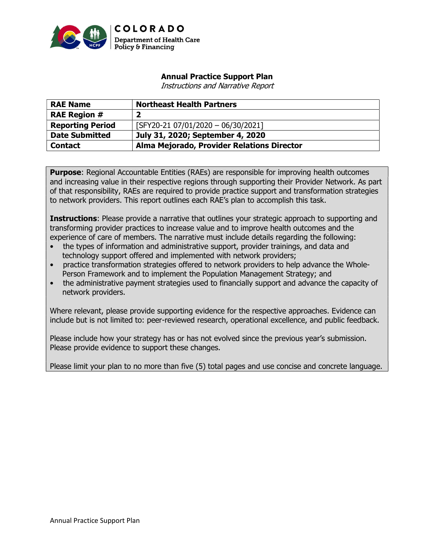

# Annual Practice Support Plan

Instructions and Narrative Report

| <b>RAE Name</b>         | <b>Northeast Health Partners</b>           |
|-------------------------|--------------------------------------------|
| <b>RAE Region #</b>     | 2                                          |
| <b>Reporting Period</b> | [SFY20-21 07/01/2020 - 06/30/2021]         |
| <b>Date Submitted</b>   | July 31, 2020; September 4, 2020           |
| <b>Contact</b>          | Alma Mejorado, Provider Relations Director |

**Purpose:** Regional Accountable Entities (RAEs) are responsible for improving health outcomes and increasing value in their respective regions through supporting their Provider Network. As part of that responsibility, RAEs are required to provide practice support and transformation strategies to network providers. This report outlines each RAE's plan to accomplish this task.

**Instructions:** Please provide a narrative that outlines your strategic approach to supporting and transforming provider practices to increase value and to improve health outcomes and the experience of care of members. The narrative must include details regarding the following:

- the types of information and administrative support, provider trainings, and data and technology support offered and implemented with network providers;
- practice transformation strategies offered to network providers to help advance the Whole-Person Framework and to implement the Population Management Strategy; and
- the administrative payment strategies used to financially support and advance the capacity of network providers.

Where relevant, please provide supporting evidence for the respective approaches. Evidence can include but is not limited to: peer-reviewed research, operational excellence, and public feedback.

Please include how your strategy has or has not evolved since the previous year's submission. Please provide evidence to support these changes.

Please limit your plan to no more than five (5) total pages and use concise and concrete language.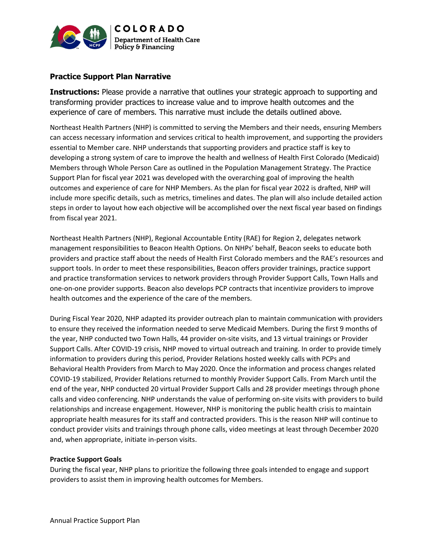

# Practice Support Plan Narrative

**Instructions:** Please provide a narrative that outlines your strategic approach to supporting and transforming provider practices to increase value and to improve health outcomes and the experience of care of members. This narrative must include the details outlined above.

Northeast Health Partners (NHP) is committed to serving the Members and their needs, ensuring Members can access necessary information and services critical to health improvement, and supporting the providers essential to Member care. NHP understands that supporting providers and practice staff is key to developing a strong system of care to improve the health and wellness of Health First Colorado (Medicaid) Members through Whole Person Care as outlined in the Population Management Strategy. The Practice Support Plan for fiscal year 2021 was developed with the overarching goal of improving the health outcomes and experience of care for NHP Members. As the plan for fiscal year 2022 is drafted, NHP will include more specific details, such as metrics, timelines and dates. The plan will also include detailed action steps in order to layout how each objective will be accomplished over the next fiscal year based on findings from fiscal year 2021.

Northeast Health Partners (NHP), Regional Accountable Entity (RAE) for Region 2, delegates network management responsibilities to Beacon Health Options. On NHPs' behalf, Beacon seeks to educate both providers and practice staff about the needs of Health First Colorado members and the RAE's resources and support tools. In order to meet these responsibilities, Beacon offers provider trainings, practice support and practice transformation services to network providers through Provider Support Calls, Town Halls and one-on-one provider supports. Beacon also develops PCP contracts that incentivize providers to improve health outcomes and the experience of the care of the members.

During Fiscal Year 2020, NHP adapted its provider outreach plan to maintain communication with providers to ensure they received the information needed to serve Medicaid Members. During the first 9 months of the year, NHP conducted two Town Halls, 44 provider on-site visits, and 13 virtual trainings or Provider Support Calls. After COVID-19 crisis, NHP moved to virtual outreach and training. In order to provide timely information to providers during this period, Provider Relations hosted weekly calls with PCPs and Behavioral Health Providers from March to May 2020. Once the information and process changes related COVID-19 stabilized, Provider Relations returned to monthly Provider Support Calls. From March until the end of the year, NHP conducted 20 virtual Provider Support Calls and 28 provider meetings through phone calls and video conferencing. NHP understands the value of performing on-site visits with providers to build relationships and increase engagement. However, NHP is monitoring the public health crisis to maintain appropriate health measures for its staff and contracted providers. This is the reason NHP will continue to conduct provider visits and trainings through phone calls, video meetings at least through December 2020 and, when appropriate, initiate in-person visits.

### Practice Support Goals

During the fiscal year, NHP plans to prioritize the following three goals intended to engage and support providers to assist them in improving health outcomes for Members.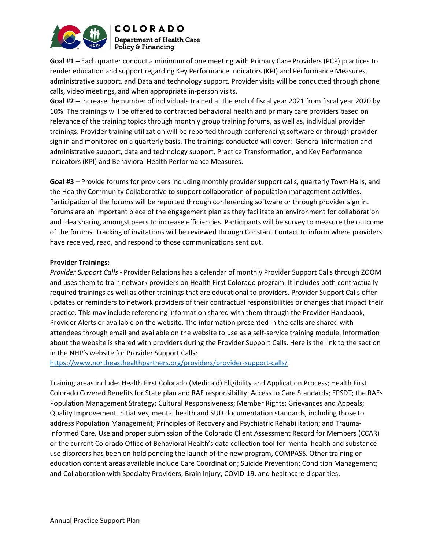

Goal #1 – Each quarter conduct a minimum of one meeting with Primary Care Providers (PCP) practices to render education and support regarding Key Performance Indicators (KPI) and Performance Measures, administrative support, and Data and technology support. Provider visits will be conducted through phone calls, video meetings, and when appropriate in-person visits.

Goal #2 – Increase the number of individuals trained at the end of fiscal year 2021 from fiscal year 2020 by 10%. The trainings will be offered to contracted behavioral health and primary care providers based on relevance of the training topics through monthly group training forums, as well as, individual provider trainings. Provider training utilization will be reported through conferencing software or through provider sign in and monitored on a quarterly basis. The trainings conducted will cover: General information and administrative support, data and technology support, Practice Transformation, and Key Performance Indicators (KPI) and Behavioral Health Performance Measures.

Goal #3 – Provide forums for providers including monthly provider support calls, quarterly Town Halls, and the Healthy Community Collaborative to support collaboration of population management activities. Participation of the forums will be reported through conferencing software or through provider sign in. Forums are an important piece of the engagement plan as they facilitate an environment for collaboration and idea sharing amongst peers to increase efficiencies. Participants will be survey to measure the outcome of the forums. Tracking of invitations will be reviewed through Constant Contact to inform where providers have received, read, and respond to those communications sent out.

### Provider Trainings:

Provider Support Calls - Provider Relations has a calendar of monthly Provider Support Calls through ZOOM and uses them to train network providers on Health First Colorado program. It includes both contractually required trainings as well as other trainings that are educational to providers. Provider Support Calls offer updates or reminders to network providers of their contractual responsibilities or changes that impact their practice. This may include referencing information shared with them through the Provider Handbook, Provider Alerts or available on the website. The information presented in the calls are shared with attendees through email and available on the website to use as a self-service training module. Information about the website is shared with providers during the Provider Support Calls. Here is the link to the section in the NHP's website for Provider Support Calls:

https://www.northeasthealthpartners.org/providers/provider-support-calls/

Training areas include: Health First Colorado (Medicaid) Eligibility and Application Process; Health First Colorado Covered Benefits for State plan and RAE responsibility; Access to Care Standards; EPSDT; the RAEs Population Management Strategy; Cultural Responsiveness; Member Rights; Grievances and Appeals; Quality Improvement Initiatives, mental health and SUD documentation standards, including those to address Population Management; Principles of Recovery and Psychiatric Rehabilitation; and Trauma-Informed Care. Use and proper submission of the Colorado Client Assessment Record for Members (CCAR) or the current Colorado Office of Behavioral Health's data collection tool for mental health and substance use disorders has been on hold pending the launch of the new program, COMPASS. Other training or education content areas available include Care Coordination; Suicide Prevention; Condition Management; and Collaboration with Specialty Providers, Brain Injury, COVID-19, and healthcare disparities.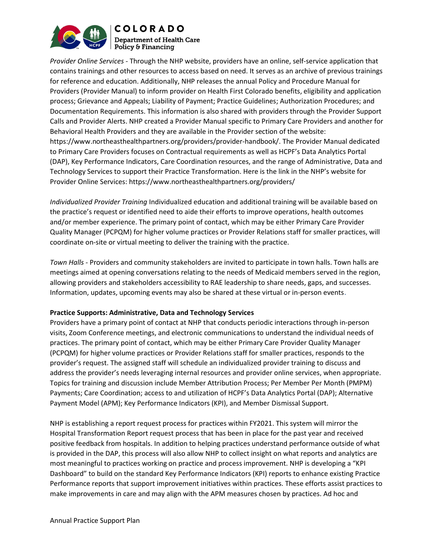

Provider Online Services - Through the NHP website, providers have an online, self-service application that contains trainings and other resources to access based on need. It serves as an archive of previous trainings for reference and education. Additionally, NHP releases the annual Policy and Procedure Manual for Providers (Provider Manual) to inform provider on Health First Colorado benefits, eligibility and application process; Grievance and Appeals; Liability of Payment; Practice Guidelines; Authorization Procedures; and Documentation Requirements. This information is also shared with providers through the Provider Support Calls and Provider Alerts. NHP created a Provider Manual specific to Primary Care Providers and another for Behavioral Health Providers and they are available in the Provider section of the website: https://www.northeasthealthpartners.org/providers/provider-handbook/. The Provider Manual dedicated to Primary Care Providers focuses on Contractual requirements as well as HCPF's Data Analytics Portal (DAP), Key Performance Indicators, Care Coordination resources, and the range of Administrative, Data and Technology Services to support their Practice Transformation. Here is the link in the NHP's website for Provider Online Services: https://www.northeasthealthpartners.org/providers/

Individualized Provider Training Individualized education and additional training will be available based on the practice's request or identified need to aide their efforts to improve operations, health outcomes and/or member experience. The primary point of contact, which may be either Primary Care Provider Quality Manager (PCPQM) for higher volume practices or Provider Relations staff for smaller practices, will coordinate on-site or virtual meeting to deliver the training with the practice.

Town Halls - Providers and community stakeholders are invited to participate in town halls. Town halls are meetings aimed at opening conversations relating to the needs of Medicaid members served in the region, allowing providers and stakeholders accessibility to RAE leadership to share needs, gaps, and successes. Information, updates, upcoming events may also be shared at these virtual or in-person events.

### Practice Supports: Administrative, Data and Technology Services

Providers have a primary point of contact at NHP that conducts periodic interactions through in-person visits, Zoom Conference meetings, and electronic communications to understand the individual needs of practices. The primary point of contact, which may be either Primary Care Provider Quality Manager (PCPQM) for higher volume practices or Provider Relations staff for smaller practices, responds to the provider's request. The assigned staff will schedule an individualized provider training to discuss and address the provider's needs leveraging internal resources and provider online services, when appropriate. Topics for training and discussion include Member Attribution Process; Per Member Per Month (PMPM) Payments; Care Coordination; access to and utilization of HCPF's Data Analytics Portal (DAP); Alternative Payment Model (APM); Key Performance Indicators (KPI), and Member Dismissal Support.

NHP is establishing a report request process for practices within FY2021. This system will mirror the Hospital Transformation Report request process that has been in place for the past year and received positive feedback from hospitals. In addition to helping practices understand performance outside of what is provided in the DAP, this process will also allow NHP to collect insight on what reports and analytics are most meaningful to practices working on practice and process improvement. NHP is developing a "KPI Dashboard" to build on the standard Key Performance Indicators (KPI) reports to enhance existing Practice Performance reports that support improvement initiatives within practices. These efforts assist practices to make improvements in care and may align with the APM measures chosen by practices. Ad hoc and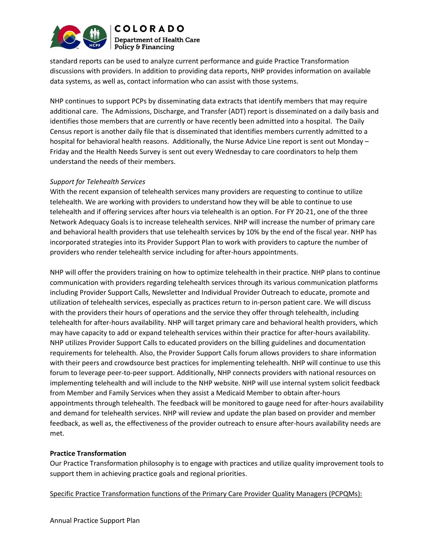

standard reports can be used to analyze current performance and guide Practice Transformation discussions with providers. In addition to providing data reports, NHP provides information on available data systems, as well as, contact information who can assist with those systems.

NHP continues to support PCPs by disseminating data extracts that identify members that may require additional care. The Admissions, Discharge, and Transfer (ADT) report is disseminated on a daily basis and identifies those members that are currently or have recently been admitted into a hospital. The Daily Census report is another daily file that is disseminated that identifies members currently admitted to a hospital for behavioral health reasons. Additionally, the Nurse Advice Line report is sent out Monday – Friday and the Health Needs Survey is sent out every Wednesday to care coordinators to help them understand the needs of their members.

### Support for Telehealth Services

With the recent expansion of telehealth services many providers are requesting to continue to utilize telehealth. We are working with providers to understand how they will be able to continue to use telehealth and if offering services after hours via telehealth is an option. For FY 20-21, one of the three Network Adequacy Goals is to increase telehealth services. NHP will increase the number of primary care and behavioral health providers that use telehealth services by 10% by the end of the fiscal year. NHP has incorporated strategies into its Provider Support Plan to work with providers to capture the number of providers who render telehealth service including for after-hours appointments.

NHP will offer the providers training on how to optimize telehealth in their practice. NHP plans to continue communication with providers regarding telehealth services through its various communication platforms including Provider Support Calls, Newsletter and Individual Provider Outreach to educate, promote and utilization of telehealth services, especially as practices return to in-person patient care. We will discuss with the providers their hours of operations and the service they offer through telehealth, including telehealth for after-hours availability. NHP will target primary care and behavioral health providers, which may have capacity to add or expand telehealth services within their practice for after-hours availability. NHP utilizes Provider Support Calls to educated providers on the billing guidelines and documentation requirements for telehealth. Also, the Provider Support Calls forum allows providers to share information with their peers and crowdsource best practices for implementing telehealth. NHP will continue to use this forum to leverage peer-to-peer support. Additionally, NHP connects providers with national resources on implementing telehealth and will include to the NHP website. NHP will use internal system solicit feedback from Member and Family Services when they assist a Medicaid Member to obtain after-hours appointments through telehealth. The feedback will be monitored to gauge need for after-hours availability and demand for telehealth services. NHP will review and update the plan based on provider and member feedback, as well as, the effectiveness of the provider outreach to ensure after-hours availability needs are met.

### Practice Transformation

Our Practice Transformation philosophy is to engage with practices and utilize quality improvement tools to support them in achieving practice goals and regional priorities.

Specific Practice Transformation functions of the Primary Care Provider Quality Managers (PCPQMs):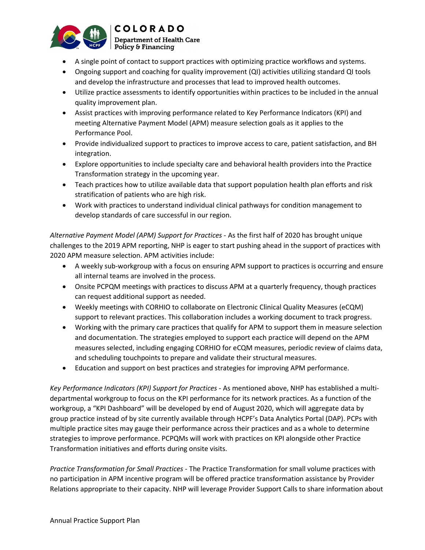

- A single point of contact to support practices with optimizing practice workflows and systems.
- Ongoing support and coaching for quality improvement (QI) activities utilizing standard QI tools and develop the infrastructure and processes that lead to improved health outcomes.
- Utilize practice assessments to identify opportunities within practices to be included in the annual quality improvement plan.
- Assist practices with improving performance related to Key Performance Indicators (KPI) and meeting Alternative Payment Model (APM) measure selection goals as it applies to the Performance Pool.
- Provide individualized support to practices to improve access to care, patient satisfaction, and BH integration.
- Explore opportunities to include specialty care and behavioral health providers into the Practice Transformation strategy in the upcoming year.
- Teach practices how to utilize available data that support population health plan efforts and risk stratification of patients who are high risk.
- Work with practices to understand individual clinical pathways for condition management to develop standards of care successful in our region.

Alternative Payment Model (APM) Support for Practices - As the first half of 2020 has brought unique challenges to the 2019 APM reporting, NHP is eager to start pushing ahead in the support of practices with 2020 APM measure selection. APM activities include:

- A weekly sub-workgroup with a focus on ensuring APM support to practices is occurring and ensure all internal teams are involved in the process.
- Onsite PCPQM meetings with practices to discuss APM at a quarterly frequency, though practices can request additional support as needed.
- Weekly meetings with CORHIO to collaborate on Electronic Clinical Quality Measures (eCQM) support to relevant practices. This collaboration includes a working document to track progress.
- Working with the primary care practices that qualify for APM to support them in measure selection and documentation. The strategies employed to support each practice will depend on the APM measures selected, including engaging CORHIO for eCQM measures, periodic review of claims data, and scheduling touchpoints to prepare and validate their structural measures.
- Education and support on best practices and strategies for improving APM performance.

Key Performance Indicators (KPI) Support for Practices - As mentioned above, NHP has established a multidepartmental workgroup to focus on the KPI performance for its network practices. As a function of the workgroup, a "KPI Dashboard" will be developed by end of August 2020, which will aggregate data by group practice instead of by site currently available through HCPF's Data Analytics Portal (DAP). PCPs with multiple practice sites may gauge their performance across their practices and as a whole to determine strategies to improve performance. PCPQMs will work with practices on KPI alongside other Practice Transformation initiatives and efforts during onsite visits.

Practice Transformation for Small Practices - The Practice Transformation for small volume practices with no participation in APM incentive program will be offered practice transformation assistance by Provider Relations appropriate to their capacity. NHP will leverage Provider Support Calls to share information about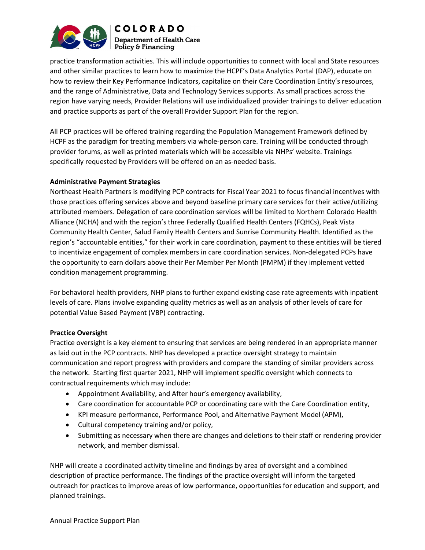

practice transformation activities. This will include opportunities to connect with local and State resources and other similar practices to learn how to maximize the HCPF's Data Analytics Portal (DAP), educate on how to review their Key Performance Indicators, capitalize on their Care Coordination Entity's resources, and the range of Administrative, Data and Technology Services supports. As small practices across the region have varying needs, Provider Relations will use individualized provider trainings to deliver education and practice supports as part of the overall Provider Support Plan for the region.

All PCP practices will be offered training regarding the Population Management Framework defined by HCPF as the paradigm for treating members via whole-person care. Training will be conducted through provider forums, as well as printed materials which will be accessible via NHPs' website. Trainings specifically requested by Providers will be offered on an as-needed basis.

### Administrative Payment Strategies

Northeast Health Partners is modifying PCP contracts for Fiscal Year 2021 to focus financial incentives with those practices offering services above and beyond baseline primary care services for their active/utilizing attributed members. Delegation of care coordination services will be limited to Northern Colorado Health Alliance (NCHA) and with the region's three Federally Qualified Health Centers (FQHCs), Peak Vista Community Health Center, Salud Family Health Centers and Sunrise Community Health. Identified as the region's "accountable entities," for their work in care coordination, payment to these entities will be tiered to incentivize engagement of complex members in care coordination services. Non-delegated PCPs have the opportunity to earn dollars above their Per Member Per Month (PMPM) if they implement vetted condition management programming.

For behavioral health providers, NHP plans to further expand existing case rate agreements with inpatient levels of care. Plans involve expanding quality metrics as well as an analysis of other levels of care for potential Value Based Payment (VBP) contracting.

### Practice Oversight

Practice oversight is a key element to ensuring that services are being rendered in an appropriate manner as laid out in the PCP contracts. NHP has developed a practice oversight strategy to maintain communication and report progress with providers and compare the standing of similar providers across the network. Starting first quarter 2021, NHP will implement specific oversight which connects to contractual requirements which may include:

- Appointment Availability, and After hour's emergency availability,
- Care coordination for accountable PCP or coordinating care with the Care Coordination entity,
- KPI measure performance, Performance Pool, and Alternative Payment Model (APM),
- Cultural competency training and/or policy,
- Submitting as necessary when there are changes and deletions to their staff or rendering provider network, and member dismissal.

NHP will create a coordinated activity timeline and findings by area of oversight and a combined description of practice performance. The findings of the practice oversight will inform the targeted outreach for practices to improve areas of low performance, opportunities for education and support, and planned trainings.